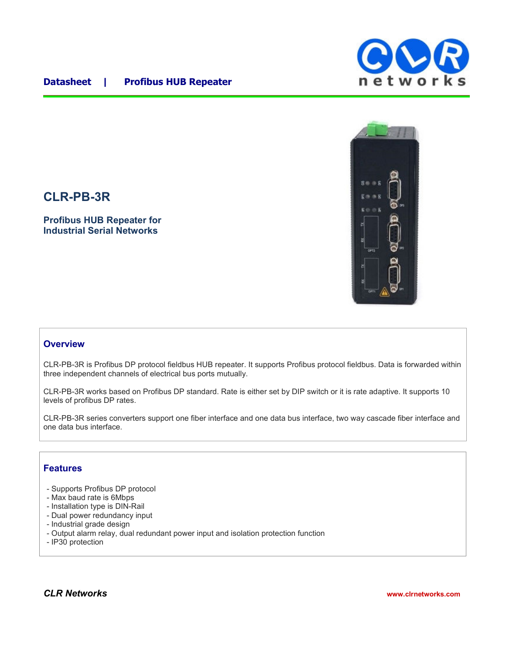## **Datasheet | Profibus HUB Repeater**





# **CLR-PB-3R**

**Profibus HUB Repeater for Industrial Serial Networks**

### **Overview**

CLR-PB-3R is Profibus DP protocol fieldbus HUB repeater. It supports Profibus protocol fieldbus. Data is forwarded within three independent channels of electrical bus ports mutually.

CLR-PB-3R works based on Profibus DP standard. Rate is either set by DIP switch or it is rate adaptive. It supports 10 levels of profibus DP rates.

CLR-PB-3R series converters support one fiber interface and one data bus interface, two way cascade fiber interface and one data bus interface.

#### **Features**

- Supports Profibus DP protocol
- Max baud rate is 6Mbps
- Installation type is DIN-Rail
- Dual power redundancy input
- Industrial grade design
- Output alarm relay, dual redundant power input and isolation protection function
- IP30 protection

*CLR Networks* **www.clrnetworks.com**